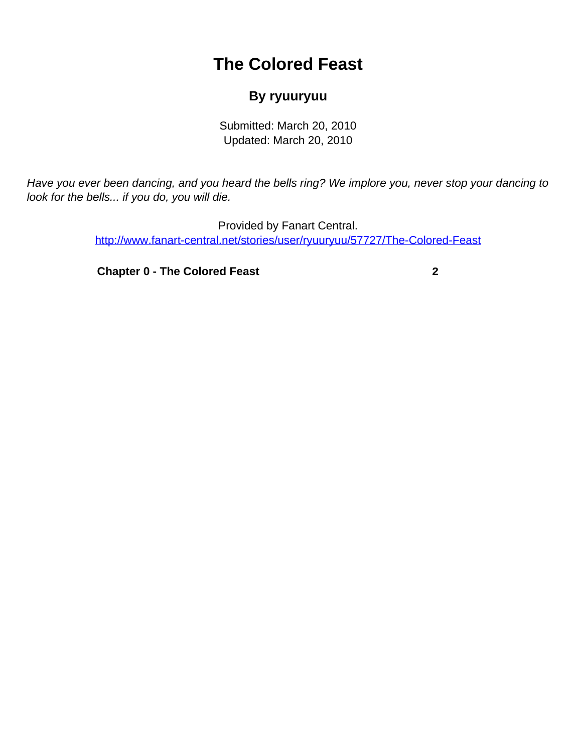## **The Colored Feast**

## **By ryuuryuu**

Submitted: March 20, 2010 Updated: March 20, 2010

<span id="page-0-0"></span>Have you ever been dancing, and you heard the bells ring? We implore you, never stop your dancing to look for the bells... if you do, you will die.

> Provided by Fanart Central. [http://www.fanart-central.net/stories/user/ryuuryuu/57727/The-Colored-Feast](#page-0-0)

**[Chapter 0 - The Colored Feast](#page-1-0)** [2](#page-1-0)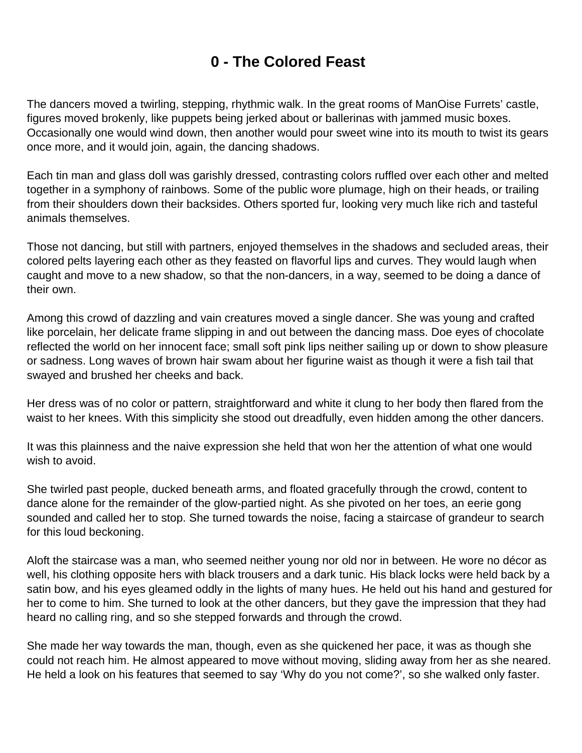## **0 - The Colored Feast**

<span id="page-1-0"></span>The dancers moved a twirling, stepping, rhythmic walk. In the great rooms of ManOise Furrets' castle, figures moved brokenly, like puppets being jerked about or ballerinas with jammed music boxes. Occasionally one would wind down, then another would pour sweet wine into its mouth to twist its gears once more, and it would join, again, the dancing shadows.

Each tin man and glass doll was garishly dressed, contrasting colors ruffled over each other and melted together in a symphony of rainbows. Some of the public wore plumage, high on their heads, or trailing from their shoulders down their backsides. Others sported fur, looking very much like rich and tasteful animals themselves.

Those not dancing, but still with partners, enjoyed themselves in the shadows and secluded areas, their colored pelts layering each other as they feasted on flavorful lips and curves. They would laugh when caught and move to a new shadow, so that the non-dancers, in a way, seemed to be doing a dance of their own.

Among this crowd of dazzling and vain creatures moved a single dancer. She was young and crafted like porcelain, her delicate frame slipping in and out between the dancing mass. Doe eyes of chocolate reflected the world on her innocent face; small soft pink lips neither sailing up or down to show pleasure or sadness. Long waves of brown hair swam about her figurine waist as though it were a fish tail that swayed and brushed her cheeks and back.

Her dress was of no color or pattern, straightforward and white it clung to her body then flared from the waist to her knees. With this simplicity she stood out dreadfully, even hidden among the other dancers.

It was this plainness and the naive expression she held that won her the attention of what one would wish to avoid.

She twirled past people, ducked beneath arms, and floated gracefully through the crowd, content to dance alone for the remainder of the glow-partied night. As she pivoted on her toes, an eerie gong sounded and called her to stop. She turned towards the noise, facing a staircase of grandeur to search for this loud beckoning.

Aloft the staircase was a man, who seemed neither young nor old nor in between. He wore no décor as well, his clothing opposite hers with black trousers and a dark tunic. His black locks were held back by a satin bow, and his eyes gleamed oddly in the lights of many hues. He held out his hand and gestured for her to come to him. She turned to look at the other dancers, but they gave the impression that they had heard no calling ring, and so she stepped forwards and through the crowd.

She made her way towards the man, though, even as she quickened her pace, it was as though she could not reach him. He almost appeared to move without moving, sliding away from her as she neared. He held a look on his features that seemed to say 'Why do you not come?', so she walked only faster.